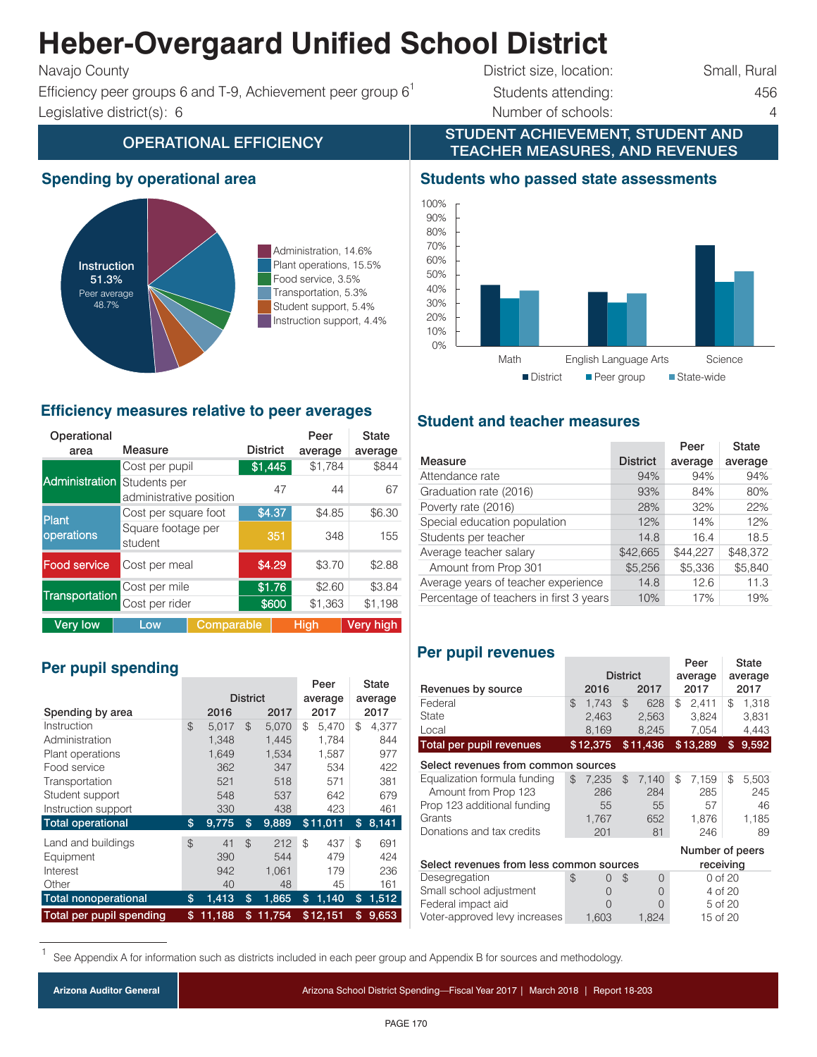## **Heber-Overgaard Unified School District**

Efficiency peer groups 6 and T-9, Achievement peer group  $6<sup>1</sup>$  Students attending: 456 Legislative district(s): 6 and 1 and 2 and 2 and 2 and 2 and 2 and 2 and 2 and 2 and 2 and 2 and 2 and 2 and 2 and 2 and 2 and 2 and 2 and 2 and 2 and 2 and 2 and 2 and 2 and 2 and 2 and 2 and 2 and 2 and 2 and 2 and 2 and

# Navajo County **County District size, location:** Small, Rural

STUDENT ACHIEVEMENT, STUDENT AND

### OPERATIONAL EFFICIENCY **TEACHER MEASURES, AND REVENUES**

#### **Spending by operational area**



Administration, 14.6% Plant operations, 15.5% Food service, 3.5% Transportation, 5.3% Student support, 5.4% Instruction support, 4.4%

#### **Efficiency measures relative to peer averages**

| Operational<br>area                  | Measure                                 | <b>District</b> | Peer<br>average | State<br>average |  |  |
|--------------------------------------|-----------------------------------------|-----------------|-----------------|------------------|--|--|
|                                      | Cost per pupil                          | \$1,445         | \$1,784         | \$844            |  |  |
| Administration                       | Students per<br>administrative position | 47              | 44              | 67               |  |  |
| Cost per square foot<br><b>Plant</b> |                                         | \$4.37          | \$4.85          | \$6.30           |  |  |
| operations                           | Square footage per<br>student           | 351             | 348             | 155              |  |  |
| <b>Food service</b>                  | Cost per meal                           | \$4.29          | \$3.70          | \$2.88           |  |  |
|                                      | Cost per mile                           | \$1.76          | \$2.60          | \$3.84           |  |  |
| Transportation<br>Cost per rider     |                                         | \$600           | \$1,363         | \$1.198          |  |  |
| <b>Verv low</b>                      | Comparable<br>Low                       |                 | Hiah            | Very high        |  |  |

#### **Per pupil spending**

|                             |                |        |                 |        | Peer        | <b>State</b> |
|-----------------------------|----------------|--------|-----------------|--------|-------------|--------------|
|                             |                |        | <b>District</b> |        | average     | average      |
| Spending by area            |                | 2016   |                 | 2017   | 2017        | 2017         |
| Instruction                 | $\mathfrak{L}$ | 5.017  | $\mathfrak{L}$  | 5,070  | \$<br>5.470 | \$<br>4,377  |
| Administration              |                | 1.348  |                 | 1,445  | 1.784       | 844          |
| Plant operations            |                | 1.649  |                 | 1,534  | 1,587       | 977          |
| Food service                |                | 362    |                 | 347    | 534         | 422          |
| Transportation              |                | 521    |                 | 518    | 571         | 381          |
| Student support             |                | 548    |                 | 537    | 642         | 679          |
| Instruction support         |                | 330    |                 | 438    | 423         | 461          |
| <b>Total operational</b>    | \$             | 9,775  | \$              | 9,889  | \$11,011    | \$<br>8,141  |
| Land and buildings          | $\mathfrak{L}$ | 41     | $\mathfrak{L}$  | 212    | \$<br>437   | \$<br>691    |
| Equipment                   |                | 390    |                 | 544    | 479         | 424          |
| Interest                    |                | 942    |                 | 1,061  | 179         | 236          |
| Other                       |                | 40     |                 | 48     | 45          | 161          |
| <b>Total nonoperational</b> | \$             | 1,413  | \$              | 1,865  | \$<br>1,140 | \$<br>1,512  |
| Total per pupil spending    | \$             | 11.188 | \$              | 11.754 | \$12,151    | \$<br>9.653  |

#### **Students who passed state assessments**



#### **Student and teacher measures**

|                                         |                 | Peer     | <b>State</b> |
|-----------------------------------------|-----------------|----------|--------------|
| Measure                                 | <b>District</b> | average  | average      |
| Attendance rate                         | 94%             | 94%      | 94%          |
| Graduation rate (2016)                  | 93%             | 84%      | 80%          |
| Poverty rate (2016)                     | 28%             | 32%      | 22%          |
| Special education population            | 12%             | 14%      | 12%          |
| Students per teacher                    | 14.8            | 16.4     | 18.5         |
| Average teacher salary                  | \$42,665        | \$44,227 | \$48,372     |
| Amount from Prop 301                    | \$5,256         | \$5,336  | \$5,840      |
| Average years of teacher experience     | 14.8            | 12.6     | 11.3         |
| Percentage of teachers in first 3 years | 10%             | 17%      | 19%          |

#### **Per pupil revenues**

|                                                      |                    |                 |              | Peer               | State              |
|------------------------------------------------------|--------------------|-----------------|--------------|--------------------|--------------------|
|                                                      |                    | <b>District</b> |              | average            | average            |
| Revenues by source                                   | 2016               |                 | 2017         | 2017               | 2017               |
| Federal                                              | \$<br>1,743        | \$              | 628          | \$<br>2,411        | \$<br>1,318        |
| State                                                | 2,463              |                 | 2,563        | 3,824              | 3,831              |
| Local                                                | 8,169              |                 | 8,245        | 7,054              | 4,443              |
| Total per pupil revenues                             | \$12,375           |                 | \$11.436     | \$13,289           | \$<br>9,592        |
| Select revenues from common sources                  |                    |                 |              |                    |                    |
| Equalization formula funding<br>Amount from Prop 123 | \$<br>7,235<br>286 | \$              | 7.140<br>284 | \$<br>7.159<br>285 | \$<br>5,503<br>245 |
| Prop 123 additional funding                          | 55                 |                 | 55           | 57                 | 46                 |
| Grants                                               | 1,767              |                 | 652          | 1,876              | 1,185              |
| Donations and tax credits                            | 201                |                 | 81           | 246                | 89                 |
|                                                      |                    |                 |              | Number of peers    |                    |
| Select revenues from less common sources             |                    |                 |              | receiving          |                    |
| Desegregation                                        | \$<br>0            | $\mathcal{L}$   | $\Omega$     | 0 of 20            |                    |
| Small school adjustment                              | 0                  |                 | O            | 4 of 20            |                    |
| Federal impact aid                                   | O                  |                 | $\Omega$     | 5 of 20            |                    |
| Voter-approved levy increases                        | 1,603              |                 | 1,824        | 15 of 20           |                    |

See Appendix A for information such as districts included in each peer group and Appendix B for sources and methodology.